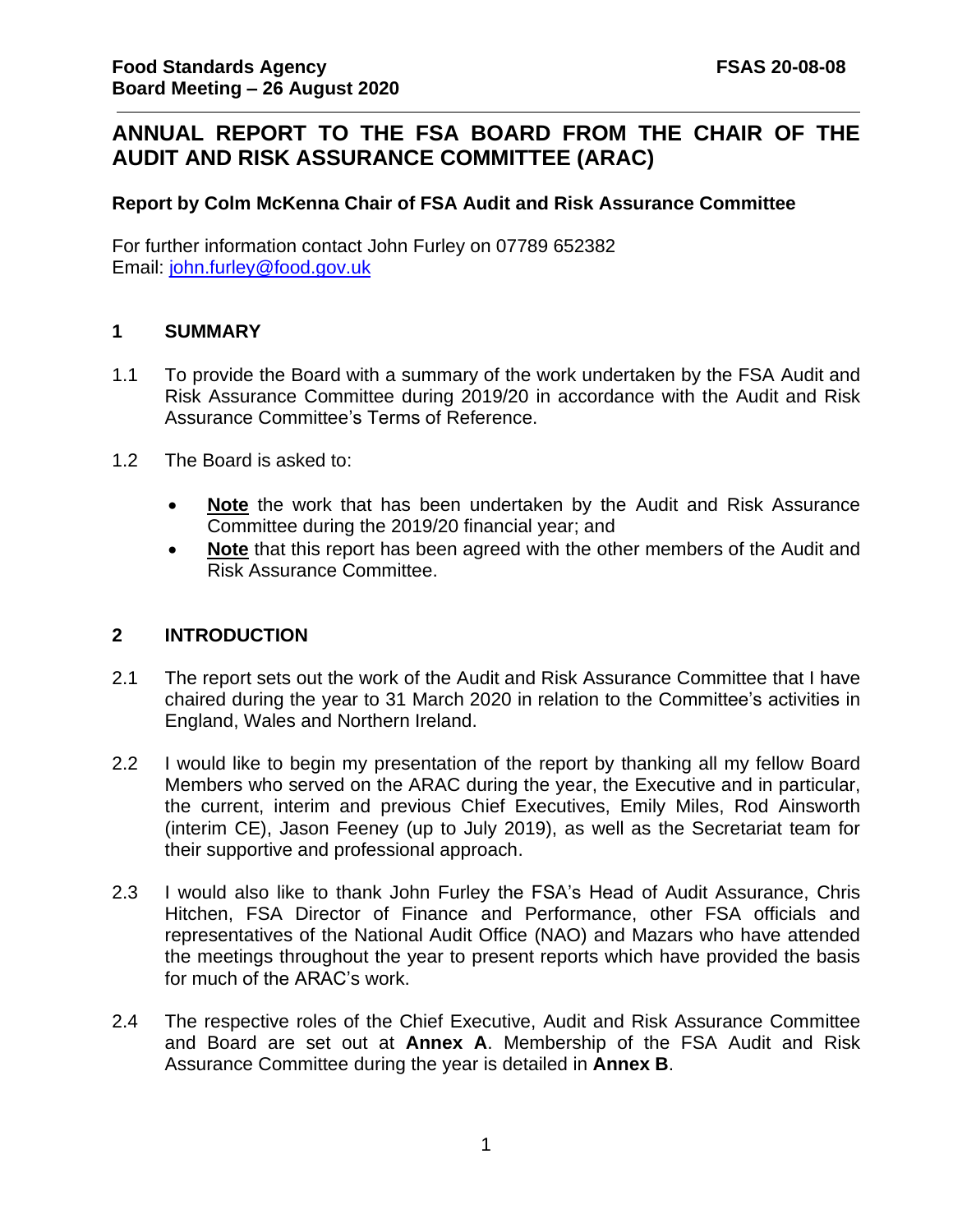# **ANNUAL REPORT TO THE FSA BOARD FROM THE CHAIR OF THE AUDIT AND RISK ASSURANCE COMMITTEE (ARAC)**

## **Report by Colm McKenna Chair of FSA Audit and Risk Assurance Committee**

For further information contact John Furley on 07789 652382 Email: [john.furley@food.gov.uk](mailto:john.furley@food.gov.uk)

## **1 SUMMARY**

- 1.1 To provide the Board with a summary of the work undertaken by the FSA Audit and Risk Assurance Committee during 2019/20 in accordance with the Audit and Risk Assurance Committee's Terms of Reference.
- 1.2 The Board is asked to:
	- **Note** the work that has been undertaken by the Audit and Risk Assurance Committee during the 2019/20 financial year; and
	- **Note** that this report has been agreed with the other members of the Audit and Risk Assurance Committee.

## **2 INTRODUCTION**

- 2.1 The report sets out the work of the Audit and Risk Assurance Committee that I have chaired during the year to 31 March 2020 in relation to the Committee's activities in England, Wales and Northern Ireland.
- 2.2 I would like to begin my presentation of the report by thanking all my fellow Board Members who served on the ARAC during the year, the Executive and in particular, the current, interim and previous Chief Executives, Emily Miles, Rod Ainsworth (interim CE), Jason Feeney (up to July 2019), as well as the Secretariat team for their supportive and professional approach.
- 2.3 I would also like to thank John Furley the FSA's Head of Audit Assurance, Chris Hitchen, FSA Director of Finance and Performance, other FSA officials and representatives of the National Audit Office (NAO) and Mazars who have attended the meetings throughout the year to present reports which have provided the basis for much of the ARAC's work.
- 2.4 The respective roles of the Chief Executive, Audit and Risk Assurance Committee and Board are set out at **Annex A**. Membership of the FSA Audit and Risk Assurance Committee during the year is detailed in **Annex B**.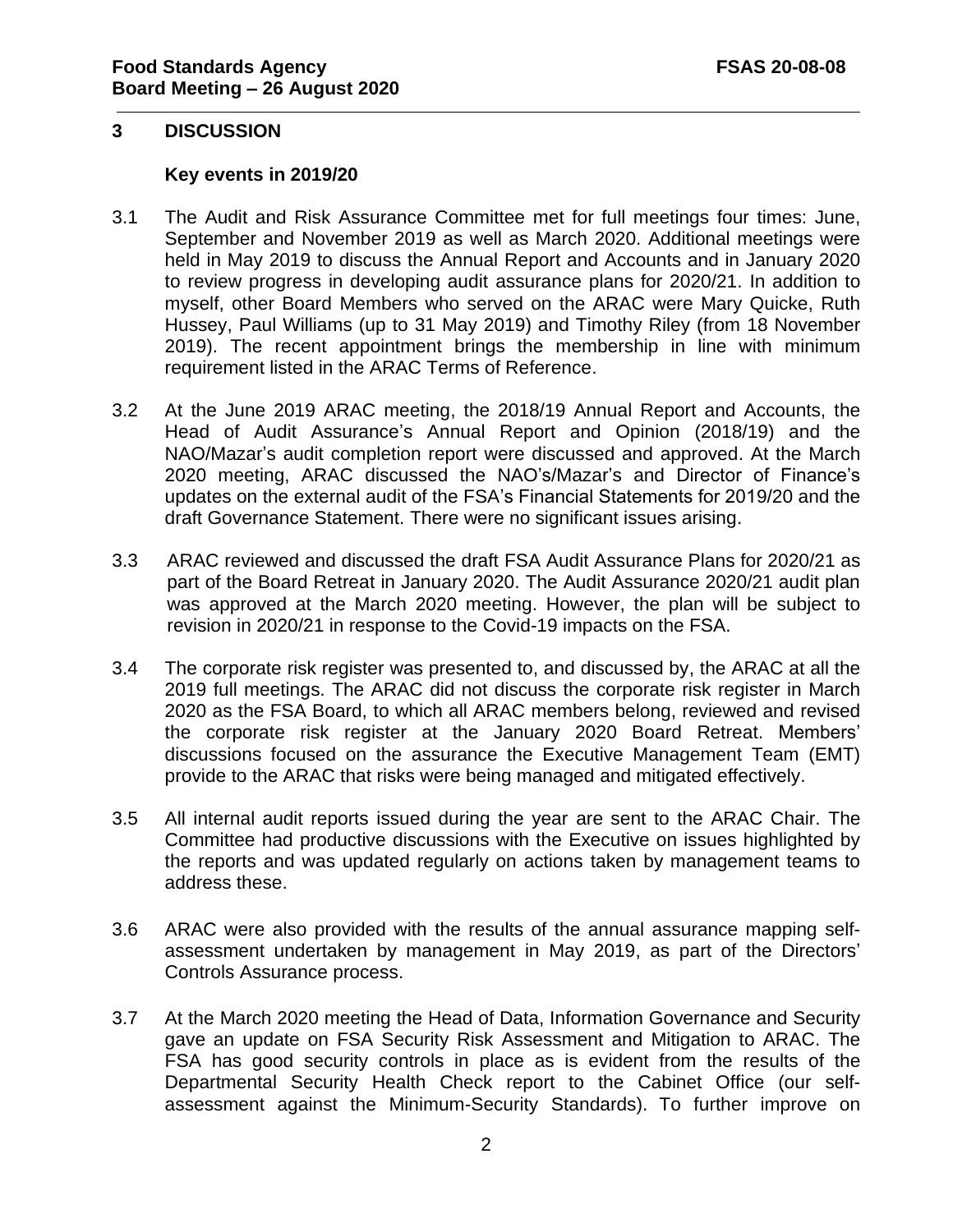### **3 DISCUSSION**

### **Key events in 2019/20**

- 3.1 The Audit and Risk Assurance Committee met for full meetings four times: June, September and November 2019 as well as March 2020. Additional meetings were held in May 2019 to discuss the Annual Report and Accounts and in January 2020 to review progress in developing audit assurance plans for 2020/21. In addition to myself, other Board Members who served on the ARAC were Mary Quicke, Ruth Hussey, Paul Williams (up to 31 May 2019) and Timothy Riley (from 18 November 2019). The recent appointment brings the membership in line with minimum requirement listed in the ARAC Terms of Reference.
- 3.2 At the June 2019 ARAC meeting, the 2018/19 Annual Report and Accounts, the Head of Audit Assurance's Annual Report and Opinion (2018/19) and the NAO/Mazar's audit completion report were discussed and approved. At the March 2020 meeting, ARAC discussed the NAO's/Mazar's and Director of Finance's updates on the external audit of the FSA's Financial Statements for 2019/20 and the draft Governance Statement. There were no significant issues arising.
- 3.3 ARAC reviewed and discussed the draft FSA Audit Assurance Plans for 2020/21 as part of the Board Retreat in January 2020. The Audit Assurance 2020/21 audit plan was approved at the March 2020 meeting. However, the plan will be subject to revision in 2020/21 in response to the Covid-19 impacts on the FSA.
- 3.4 The corporate risk register was presented to, and discussed by, the ARAC at all the 2019 full meetings. The ARAC did not discuss the corporate risk register in March 2020 as the FSA Board, to which all ARAC members belong, reviewed and revised the corporate risk register at the January 2020 Board Retreat. Members' discussions focused on the assurance the Executive Management Team (EMT) provide to the ARAC that risks were being managed and mitigated effectively.
- 3.5 All internal audit reports issued during the year are sent to the ARAC Chair. The Committee had productive discussions with the Executive on issues highlighted by the reports and was updated regularly on actions taken by management teams to address these.
- 3.6 ARAC were also provided with the results of the annual assurance mapping selfassessment undertaken by management in May 2019, as part of the Directors' Controls Assurance process.
- 3.7 At the March 2020 meeting the Head of Data, Information Governance and Security gave an update on FSA Security Risk Assessment and Mitigation to ARAC. The FSA has good security controls in place as is evident from the results of the Departmental Security Health Check report to the Cabinet Office (our selfassessment against the Minimum-Security Standards). To further improve on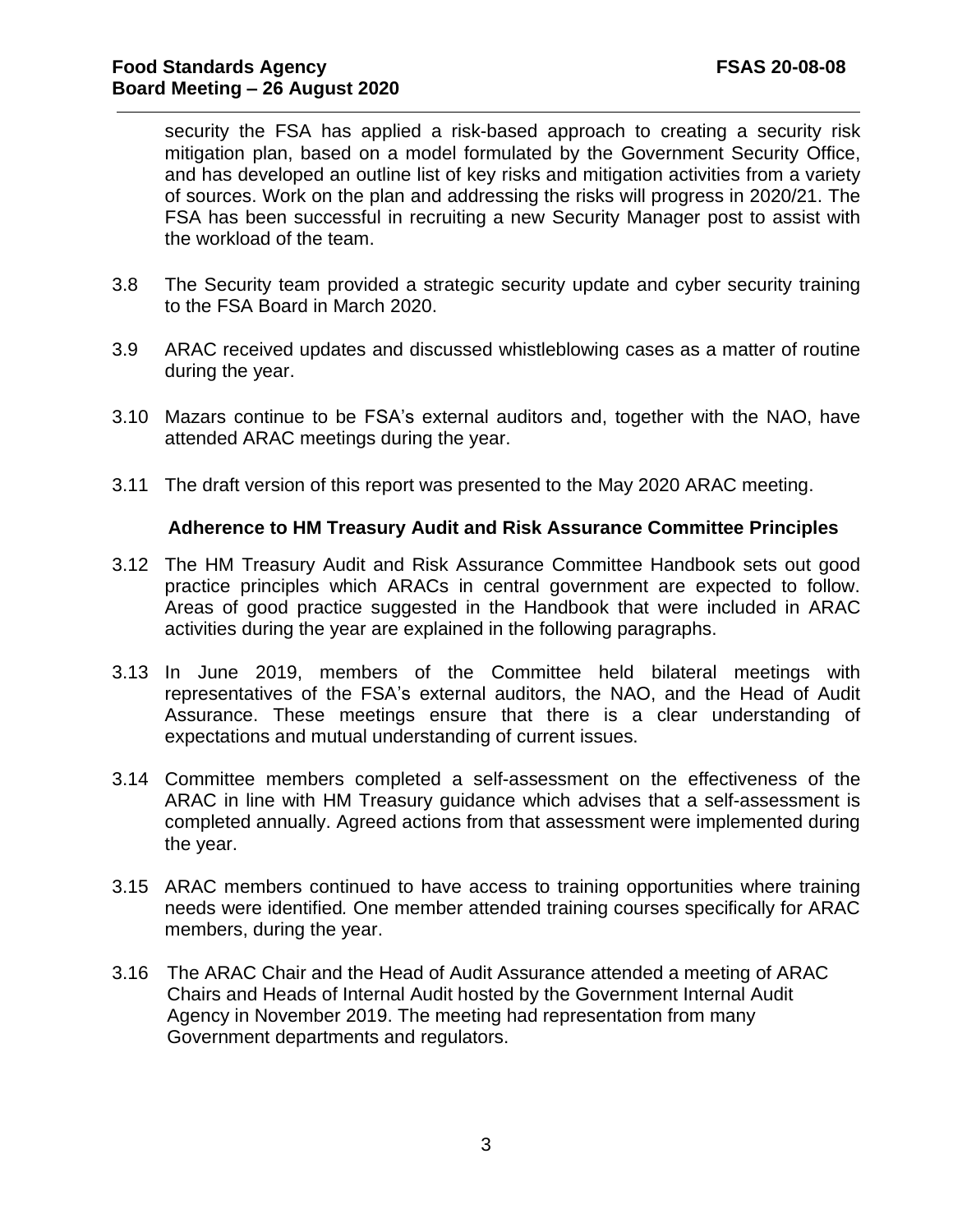security the FSA has applied a risk-based approach to creating a security risk mitigation plan, based on a model formulated by the Government Security Office, and has developed an outline list of key risks and mitigation activities from a variety of sources. Work on the plan and addressing the risks will progress in 2020/21. The FSA has been successful in recruiting a new Security Manager post to assist with the workload of the team.

- 3.8 The Security team provided a strategic security update and cyber security training to the FSA Board in March 2020.
- 3.9 ARAC received updates and discussed whistleblowing cases as a matter of routine during the year.
- 3.10 Mazars continue to be FSA's external auditors and, together with the NAO, have attended ARAC meetings during the year.
- 3.11 The draft version of this report was presented to the May 2020 ARAC meeting.

### **Adherence to HM Treasury Audit and Risk Assurance Committee Principles**

- 3.12 The HM Treasury Audit and Risk Assurance Committee Handbook sets out good practice principles which ARACs in central government are expected to follow. Areas of good practice suggested in the Handbook that were included in ARAC activities during the year are explained in the following paragraphs.
- 3.13 In June 2019, members of the Committee held bilateral meetings with representatives of the FSA's external auditors, the NAO, and the Head of Audit Assurance. These meetings ensure that there is a clear understanding of expectations and mutual understanding of current issues.
- 3.14 Committee members completed a self-assessment on the effectiveness of the ARAC in line with HM Treasury guidance which advises that a self-assessment is completed annually. Agreed actions from that assessment were implemented during the year.
- 3.15 ARAC members continued to have access to training opportunities where training needs were identified*.* One member attended training courses specifically for ARAC members, during the year.
- 3.16 The ARAC Chair and the Head of Audit Assurance attended a meeting of ARAC Chairs and Heads of Internal Audit hosted by the Government Internal Audit Agency in November 2019. The meeting had representation from many Government departments and regulators.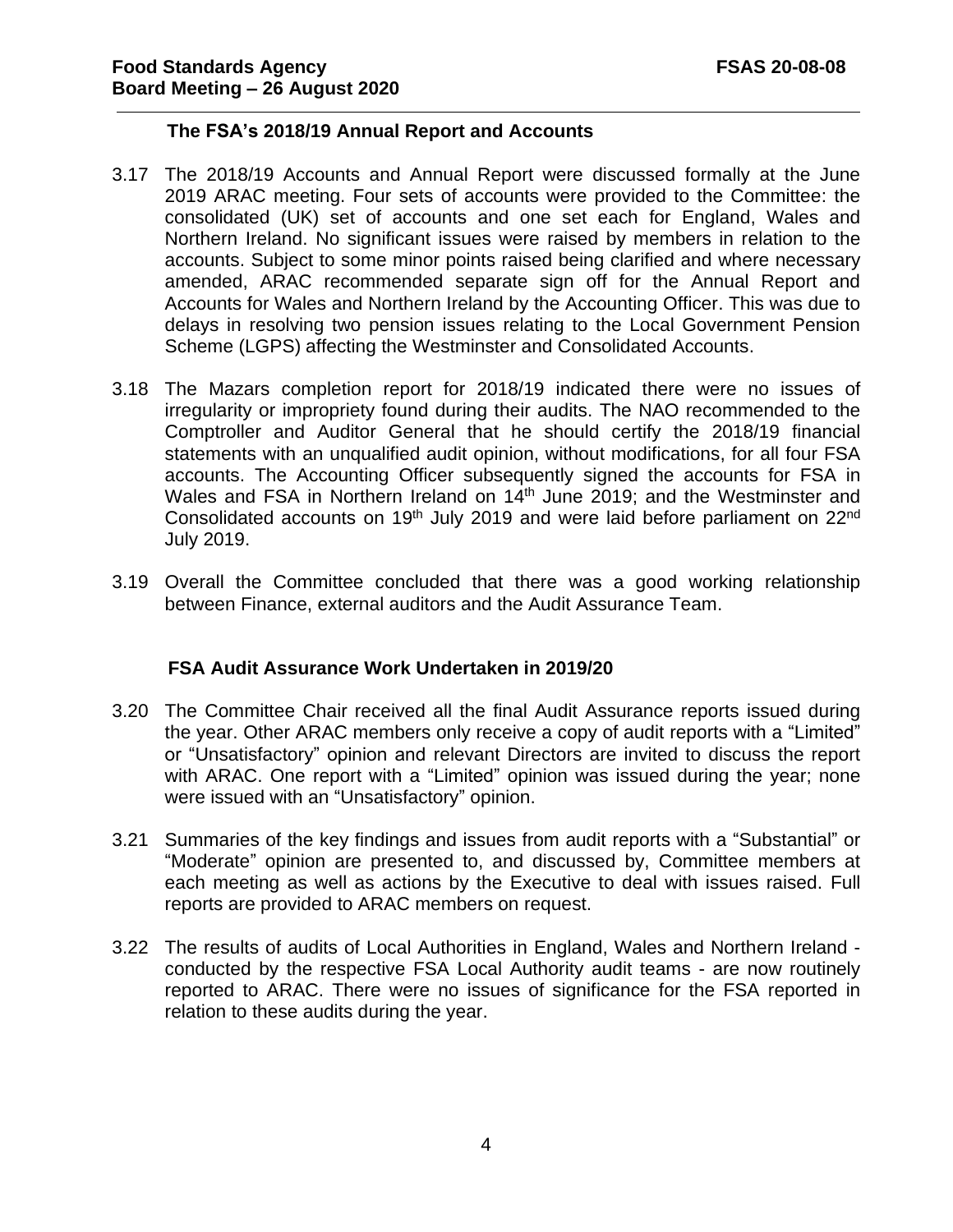### **The FSA's 2018/19 Annual Report and Accounts**

- 3.17 The 2018/19 Accounts and Annual Report were discussed formally at the June 2019 ARAC meeting. Four sets of accounts were provided to the Committee: the consolidated (UK) set of accounts and one set each for England, Wales and Northern Ireland. No significant issues were raised by members in relation to the accounts. Subject to some minor points raised being clarified and where necessary amended, ARAC recommended separate sign off for the Annual Report and Accounts for Wales and Northern Ireland by the Accounting Officer. This was due to delays in resolving two pension issues relating to the Local Government Pension Scheme (LGPS) affecting the Westminster and Consolidated Accounts.
- 3.18 The Mazars completion report for 2018/19 indicated there were no issues of irregularity or impropriety found during their audits. The NAO recommended to the Comptroller and Auditor General that he should certify the 2018/19 financial statements with an unqualified audit opinion, without modifications, for all four FSA accounts. The Accounting Officer subsequently signed the accounts for FSA in Wales and FSA in Northern Ireland on 14<sup>th</sup> June 2019; and the Westminster and Consolidated accounts on 19<sup>th</sup> July 2019 and were laid before parliament on 22<sup>nd</sup> July 2019.
- 3.19 Overall the Committee concluded that there was a good working relationship between Finance, external auditors and the Audit Assurance Team.

### **FSA Audit Assurance Work Undertaken in 2019/20**

- 3.20 The Committee Chair received all the final Audit Assurance reports issued during the year. Other ARAC members only receive a copy of audit reports with a "Limited" or "Unsatisfactory" opinion and relevant Directors are invited to discuss the report with ARAC. One report with a "Limited" opinion was issued during the year; none were issued with an "Unsatisfactory" opinion.
- 3.21 Summaries of the key findings and issues from audit reports with a "Substantial" or "Moderate" opinion are presented to, and discussed by, Committee members at each meeting as well as actions by the Executive to deal with issues raised. Full reports are provided to ARAC members on request.
- 3.22 The results of audits of Local Authorities in England, Wales and Northern Ireland conducted by the respective FSA Local Authority audit teams - are now routinely reported to ARAC. There were no issues of significance for the FSA reported in relation to these audits during the year.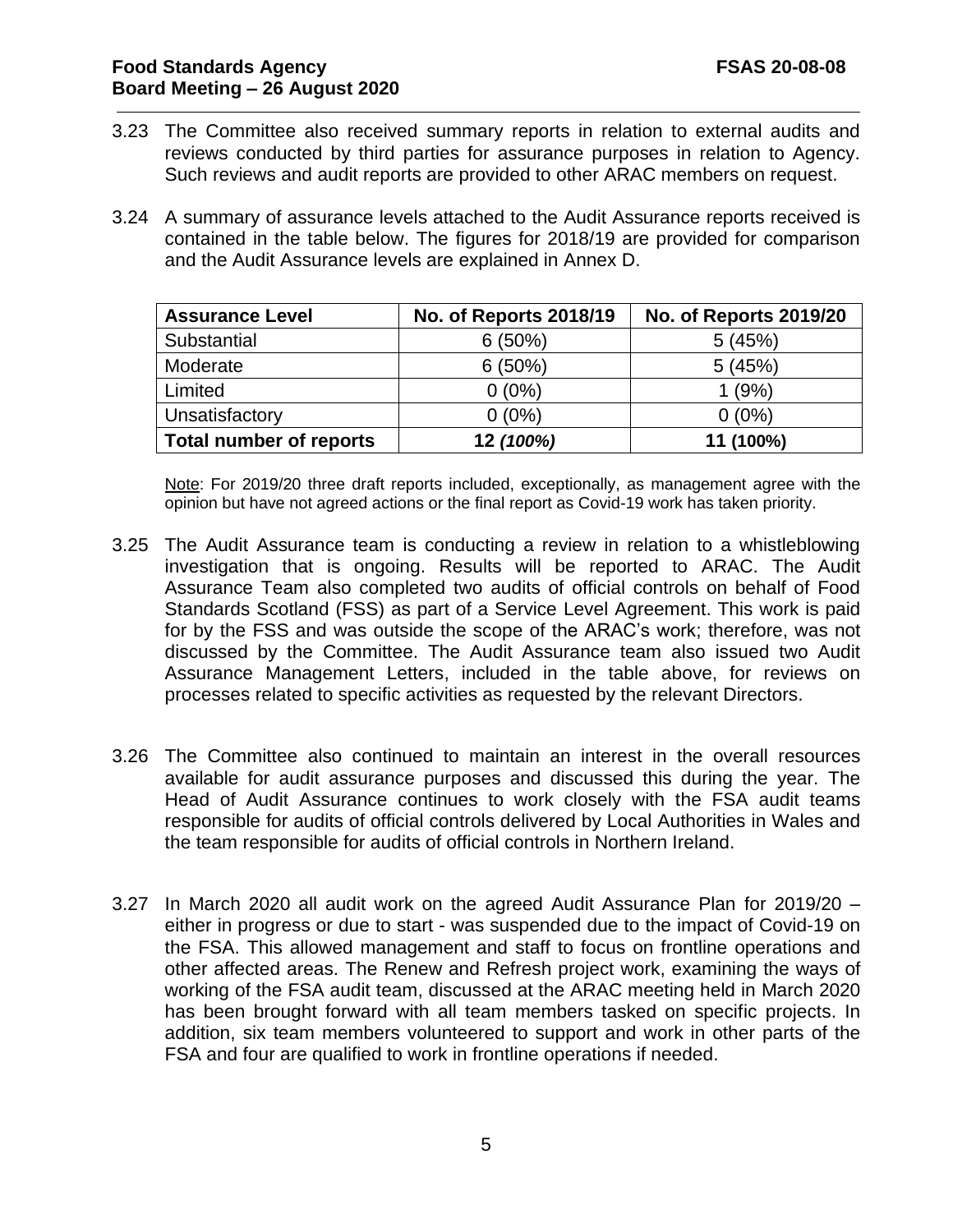## **Food Standards Agency FSAS 20-08-08 Board Meeting – 26 August 2020**

- 3.23 The Committee also received summary reports in relation to external audits and reviews conducted by third parties for assurance purposes in relation to Agency. Such reviews and audit reports are provided to other ARAC members on request.
- 3.24 A summary of assurance levels attached to the Audit Assurance reports received is contained in the table below. The figures for 2018/19 are provided for comparison and the Audit Assurance levels are explained in Annex D.

| <b>Assurance Level</b>         | <b>No. of Reports 2018/19</b> | <b>No. of Reports 2019/20</b> |
|--------------------------------|-------------------------------|-------------------------------|
| Substantial                    | 6(50%)                        | 5(45%)                        |
| Moderate                       | 6(50%)                        | 5(45%)                        |
| Limited                        | $0(0\%)$                      | 1(9%)                         |
| Unsatisfactory                 | $0(0\%)$                      | $0(0\%)$                      |
| <b>Total number of reports</b> | 12 (100%)                     | 11 (100%)                     |

Note: For 2019/20 three draft reports included, exceptionally, as management agree with the opinion but have not agreed actions or the final report as Covid-19 work has taken priority.

- 3.25 The Audit Assurance team is conducting a review in relation to a whistleblowing investigation that is ongoing. Results will be reported to ARAC. The Audit Assurance Team also completed two audits of official controls on behalf of Food Standards Scotland (FSS) as part of a Service Level Agreement. This work is paid for by the FSS and was outside the scope of the ARAC's work; therefore, was not discussed by the Committee. The Audit Assurance team also issued two Audit Assurance Management Letters, included in the table above, for reviews on processes related to specific activities as requested by the relevant Directors.
- 3.26 The Committee also continued to maintain an interest in the overall resources available for audit assurance purposes and discussed this during the year. The Head of Audit Assurance continues to work closely with the FSA audit teams responsible for audits of official controls delivered by Local Authorities in Wales and the team responsible for audits of official controls in Northern Ireland.
- 3.27 In March 2020 all audit work on the agreed Audit Assurance Plan for 2019/20 either in progress or due to start - was suspended due to the impact of Covid-19 on the FSA. This allowed management and staff to focus on frontline operations and other affected areas. The Renew and Refresh project work, examining the ways of working of the FSA audit team, discussed at the ARAC meeting held in March 2020 has been brought forward with all team members tasked on specific projects. In addition, six team members volunteered to support and work in other parts of the FSA and four are qualified to work in frontline operations if needed.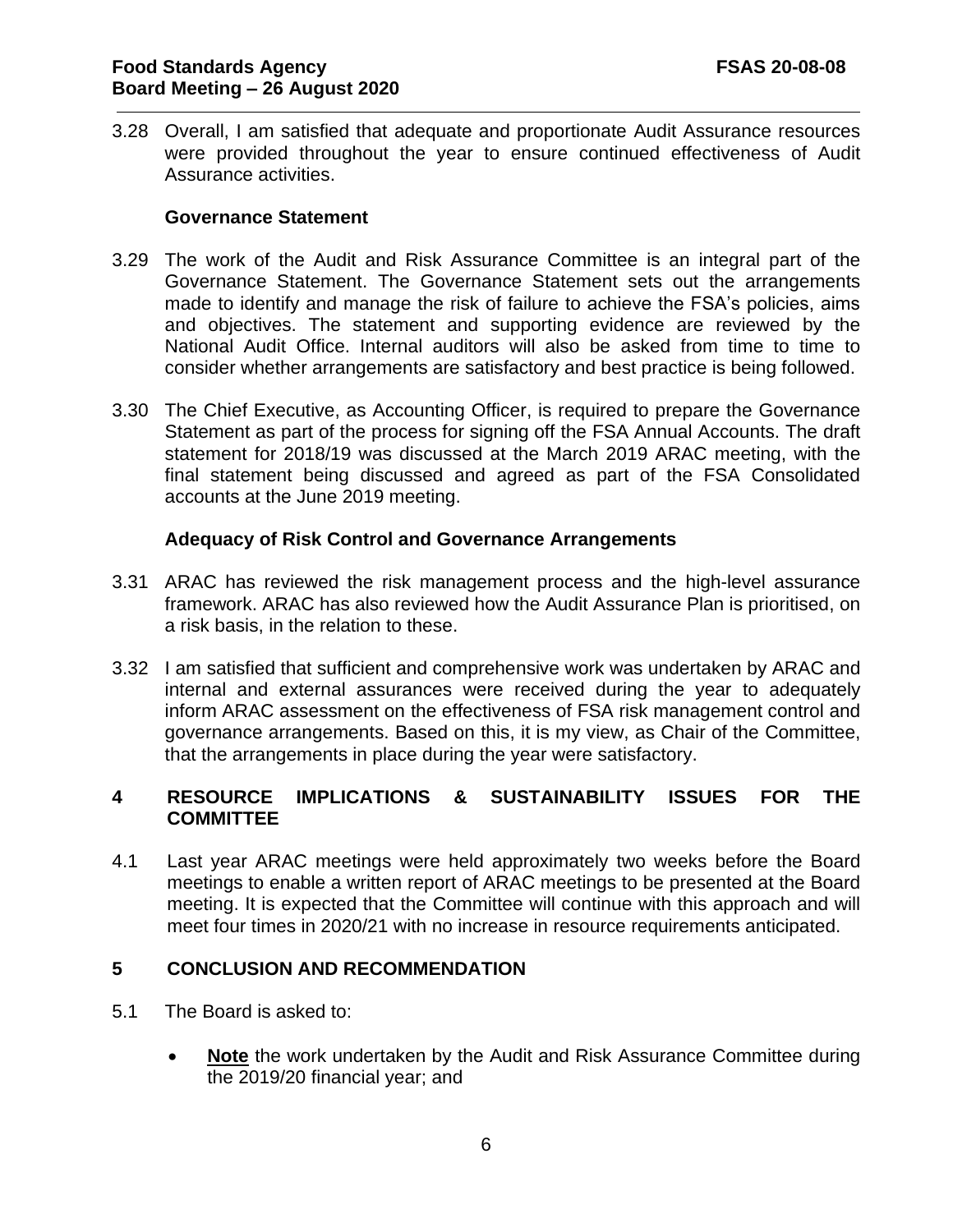3.28 Overall, I am satisfied that adequate and proportionate Audit Assurance resources were provided throughout the year to ensure continued effectiveness of Audit Assurance activities.

### **Governance Statement**

- 3.29 The work of the Audit and Risk Assurance Committee is an integral part of the Governance Statement. The Governance Statement sets out the arrangements made to identify and manage the risk of failure to achieve the FSA's policies, aims and objectives. The statement and supporting evidence are reviewed by the National Audit Office. Internal auditors will also be asked from time to time to consider whether arrangements are satisfactory and best practice is being followed.
- 3.30 The Chief Executive, as Accounting Officer, is required to prepare the Governance Statement as part of the process for signing off the FSA Annual Accounts. The draft statement for 2018/19 was discussed at the March 2019 ARAC meeting, with the final statement being discussed and agreed as part of the FSA Consolidated accounts at the June 2019 meeting.

#### **Adequacy of Risk Control and Governance Arrangements**

- 3.31 ARAC has reviewed the risk management process and the high-level assurance framework. ARAC has also reviewed how the Audit Assurance Plan is prioritised, on a risk basis, in the relation to these.
- 3.32 I am satisfied that sufficient and comprehensive work was undertaken by ARAC and internal and external assurances were received during the year to adequately inform ARAC assessment on the effectiveness of FSA risk management control and governance arrangements. Based on this, it is my view, as Chair of the Committee, that the arrangements in place during the year were satisfactory.

## **4 RESOURCE IMPLICATIONS & SUSTAINABILITY ISSUES FOR THE COMMITTEE**

4.1 Last year ARAC meetings were held approximately two weeks before the Board meetings to enable a written report of ARAC meetings to be presented at the Board meeting. It is expected that the Committee will continue with this approach and will meet four times in 2020/21 with no increase in resource requirements anticipated.

### **5 CONCLUSION AND RECOMMENDATION**

- 5.1 The Board is asked to:
	- **Note** the work undertaken by the Audit and Risk Assurance Committee during the 2019/20 financial year; and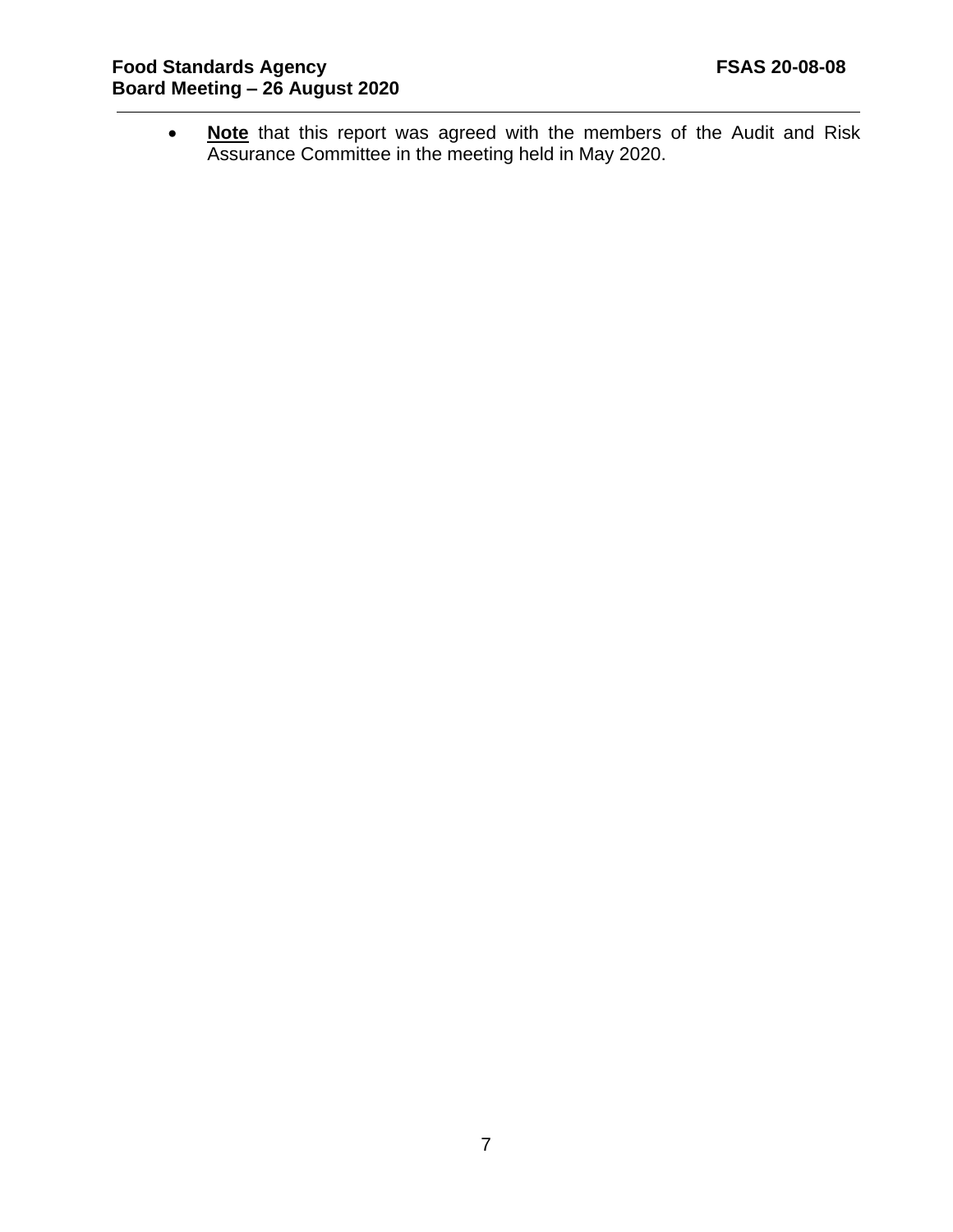• **Note** that this report was agreed with the members of the Audit and Risk Assurance Committee in the meeting held in May 2020.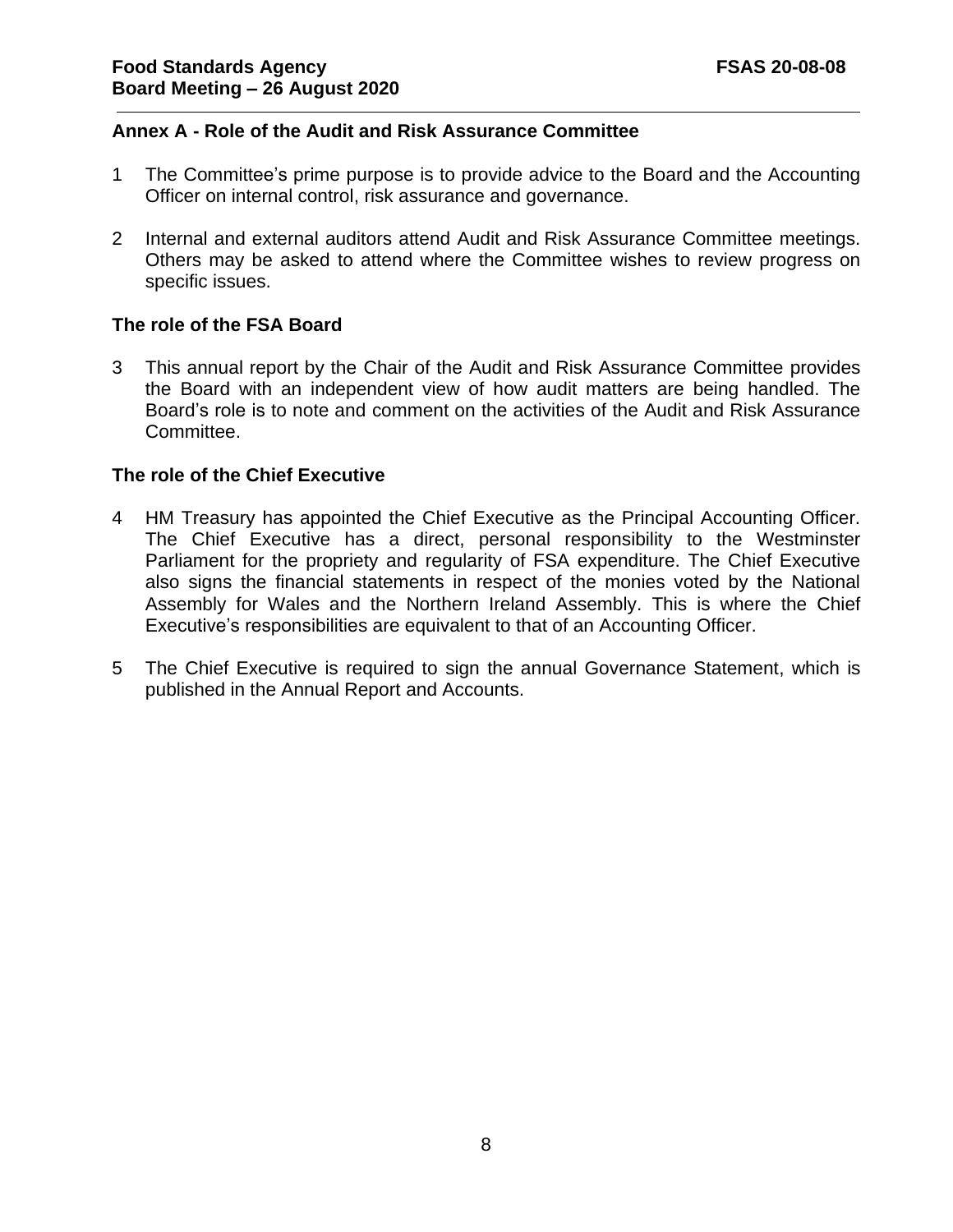### **Annex A - Role of the Audit and Risk Assurance Committee**

- 1 The Committee's prime purpose is to provide advice to the Board and the Accounting Officer on internal control, risk assurance and governance.
- 2 Internal and external auditors attend Audit and Risk Assurance Committee meetings. Others may be asked to attend where the Committee wishes to review progress on specific issues.

### **The role of the FSA Board**

3 This annual report by the Chair of the Audit and Risk Assurance Committee provides the Board with an independent view of how audit matters are being handled. The Board's role is to note and comment on the activities of the Audit and Risk Assurance Committee.

### **The role of the Chief Executive**

- 4 HM Treasury has appointed the Chief Executive as the Principal Accounting Officer. The Chief Executive has a direct, personal responsibility to the Westminster Parliament for the propriety and regularity of FSA expenditure. The Chief Executive also signs the financial statements in respect of the monies voted by the National Assembly for Wales and the Northern Ireland Assembly. This is where the Chief Executive's responsibilities are equivalent to that of an Accounting Officer.
- 5 The Chief Executive is required to sign the annual Governance Statement, which is published in the Annual Report and Accounts.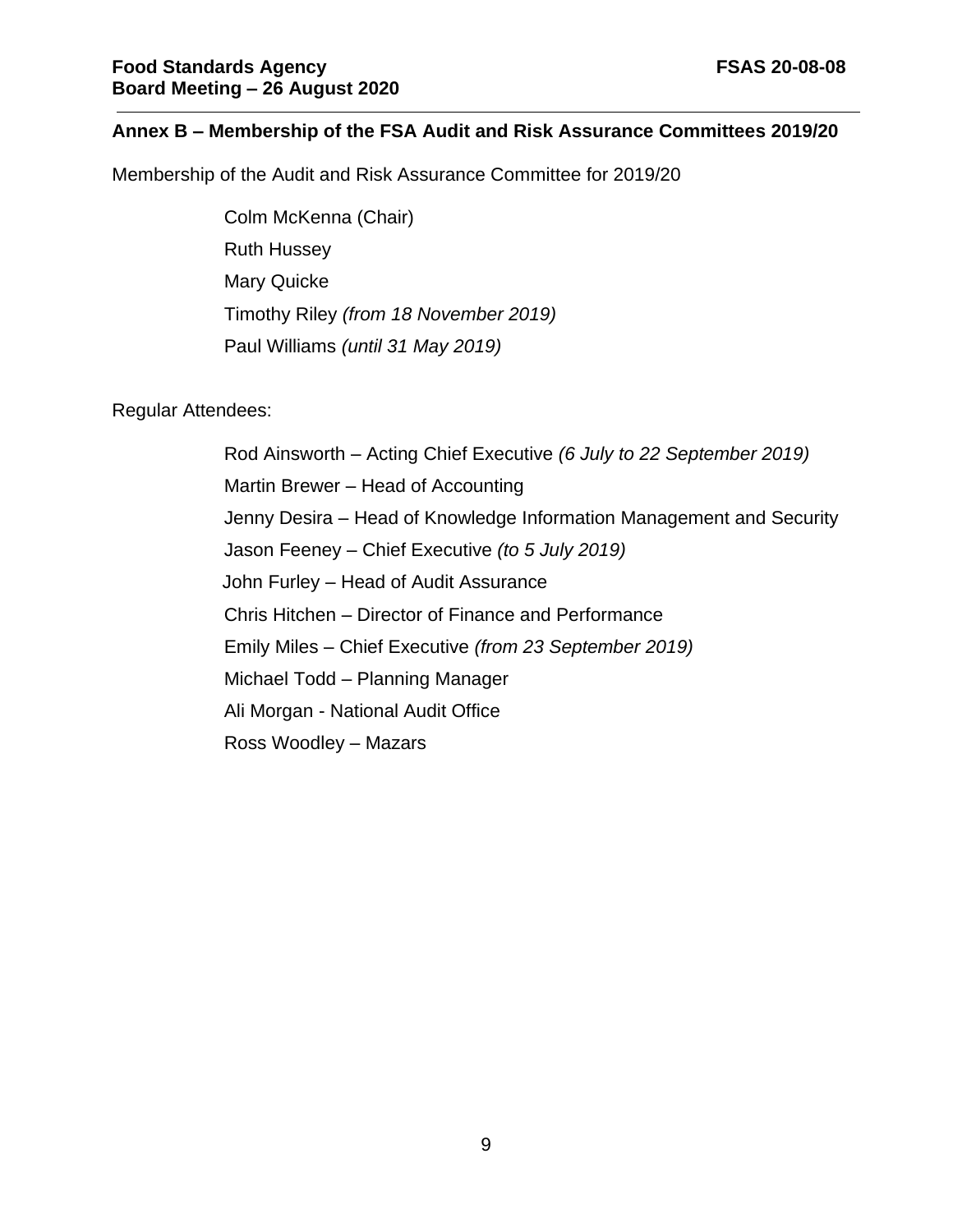## **Annex B – Membership of the FSA Audit and Risk Assurance Committees 2019/20**

Membership of the Audit and Risk Assurance Committee for 2019/20

Colm McKenna (Chair) Ruth Hussey Mary Quicke Timothy Riley *(from 18 November 2019)* Paul Williams *(until 31 May 2019)*

### Regular Attendees:

Rod Ainsworth – Acting Chief Executive *(6 July to 22 September 2019)* Martin Brewer – Head of Accounting Jenny Desira – Head of Knowledge Information Management and Security Jason Feeney – Chief Executive *(to 5 July 2019)* John Furley – Head of Audit Assurance Chris Hitchen – Director of Finance and Performance Emily Miles – Chief Executive *(from 23 September 2019)* Michael Todd – Planning Manager Ali Morgan - National Audit Office Ross Woodley – Mazars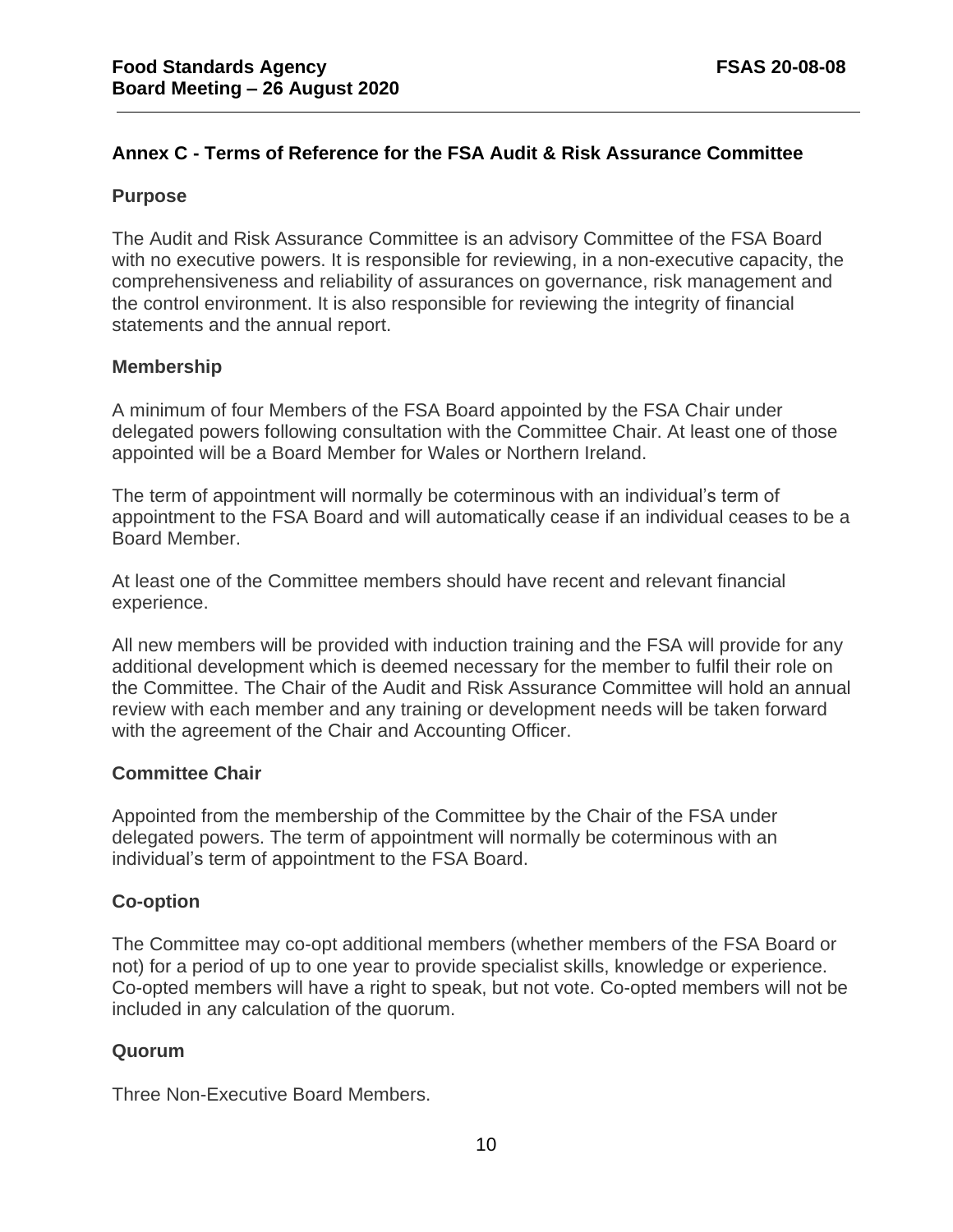## **Annex C - Terms of Reference for the FSA Audit & Risk Assurance Committee**

## **Purpose**

The Audit and Risk Assurance Committee is an advisory Committee of the FSA Board with no executive powers. It is responsible for reviewing, in a non-executive capacity, the comprehensiveness and reliability of assurances on governance, risk management and the control environment. It is also responsible for reviewing the integrity of financial statements and the annual report.

## **Membership**

A minimum of four Members of the FSA Board appointed by the FSA Chair under delegated powers following consultation with the Committee Chair. At least one of those appointed will be a Board Member for Wales or Northern Ireland.

The term of appointment will normally be coterminous with an individual's term of appointment to the FSA Board and will automatically cease if an individual ceases to be a Board Member.

At least one of the Committee members should have recent and relevant financial experience.

All new members will be provided with induction training and the FSA will provide for any additional development which is deemed necessary for the member to fulfil their role on the Committee. The Chair of the Audit and Risk Assurance Committee will hold an annual review with each member and any training or development needs will be taken forward with the agreement of the Chair and Accounting Officer.

## **Committee Chair**

Appointed from the membership of the Committee by the Chair of the FSA under delegated powers. The term of appointment will normally be coterminous with an individual's term of appointment to the FSA Board.

## **Co-option**

The Committee may co-opt additional members (whether members of the FSA Board or not) for a period of up to one year to provide specialist skills, knowledge or experience. Co-opted members will have a right to speak, but not vote. Co-opted members will not be included in any calculation of the quorum.

## **Quorum**

Three Non-Executive Board Members.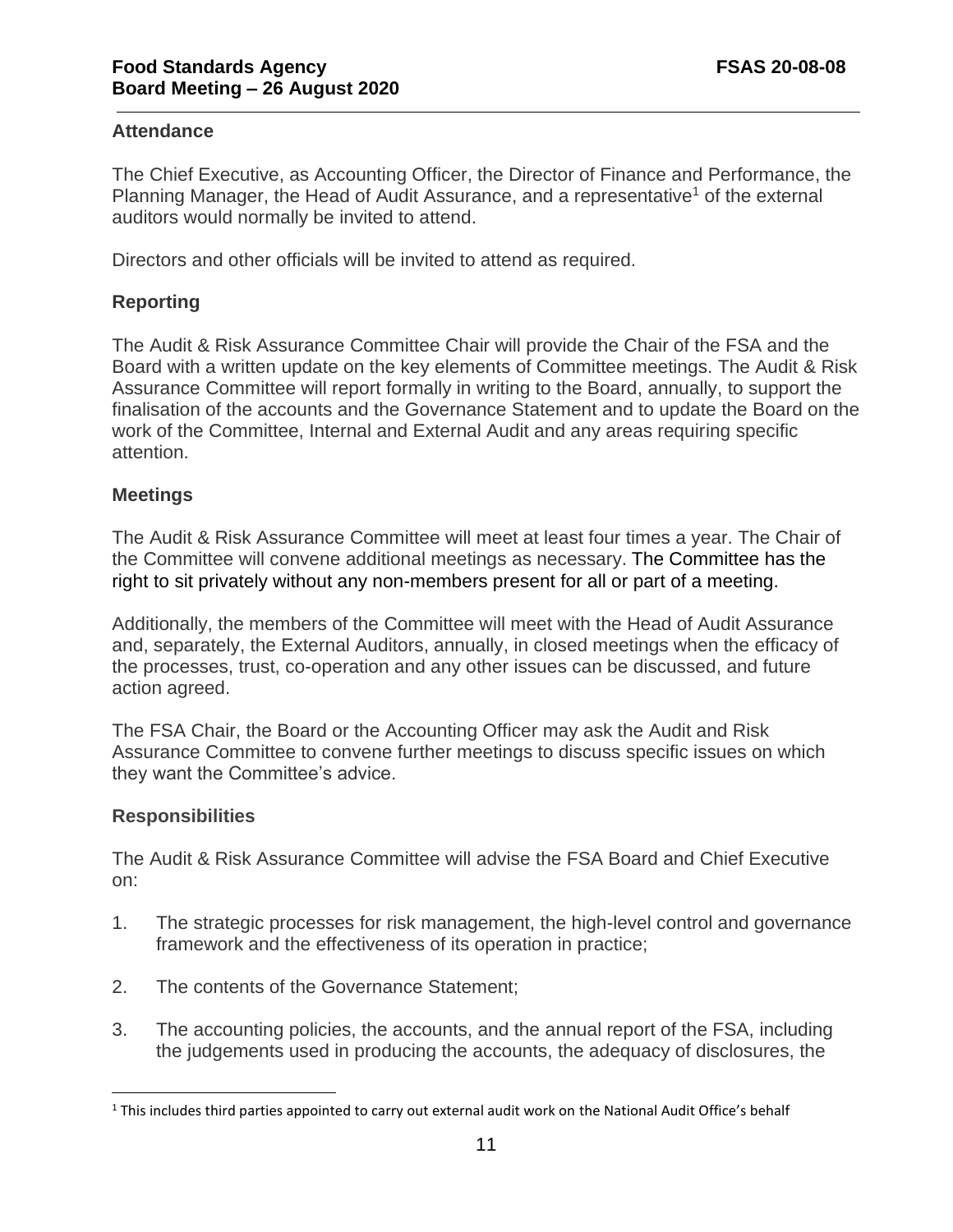## **Attendance**

The Chief Executive, as Accounting Officer, the Director of Finance and Performance, the Planning Manager, the Head of Audit Assurance, and a representative<sup>1</sup> of the external auditors would normally be invited to attend.

Directors and other officials will be invited to attend as required.

## **Reporting**

The Audit & Risk Assurance Committee Chair will provide the Chair of the FSA and the Board with a written update on the key elements of Committee meetings. The Audit & Risk Assurance Committee will report formally in writing to the Board, annually, to support the finalisation of the accounts and the Governance Statement and to update the Board on the work of the Committee, Internal and External Audit and any areas requiring specific attention.

## **Meetings**

The Audit & Risk Assurance Committee will meet at least four times a year. The Chair of the Committee will convene additional meetings as necessary. The Committee has the right to sit privately without any non-members present for all or part of a meeting.

Additionally, the members of the Committee will meet with the Head of Audit Assurance and, separately, the External Auditors, annually, in closed meetings when the efficacy of the processes, trust, co-operation and any other issues can be discussed, and future action agreed.

The FSA Chair, the Board or the Accounting Officer may ask the Audit and Risk Assurance Committee to convene further meetings to discuss specific issues on which they want the Committee's advice.

## **Responsibilities**

The Audit & Risk Assurance Committee will advise the FSA Board and Chief Executive on:

- 1. The strategic processes for risk management, the high-level control and governance framework and the effectiveness of its operation in practice;
- 2. The contents of the Governance Statement;
- 3. The accounting policies, the accounts, and the annual report of the FSA, including the judgements used in producing the accounts, the adequacy of disclosures, the

<sup>&</sup>lt;sup>1</sup> This includes third parties appointed to carry out external audit work on the National Audit Office's behalf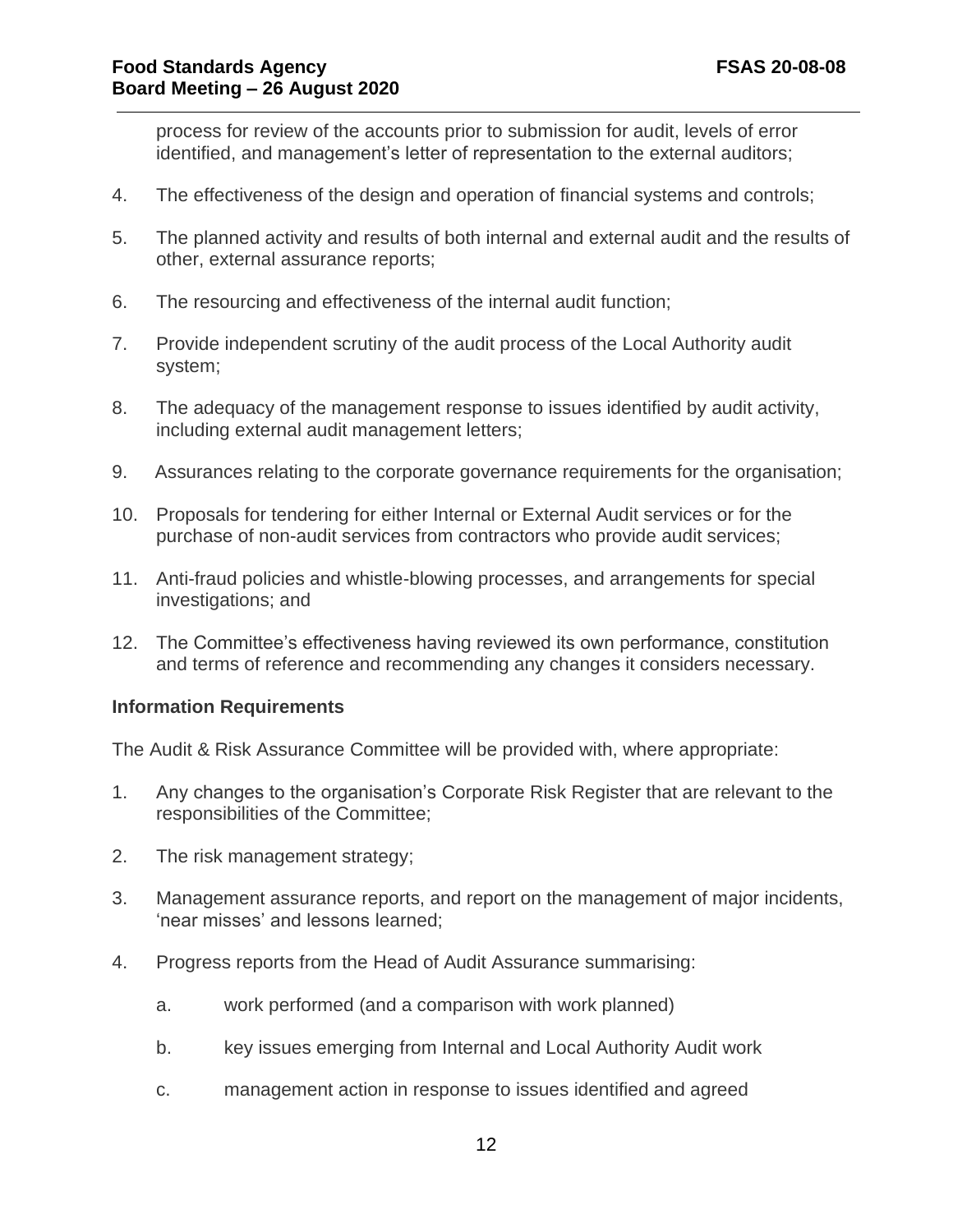process for review of the accounts prior to submission for audit, levels of error identified, and management's letter of representation to the external auditors;

- 4. The effectiveness of the design and operation of financial systems and controls;
- 5. The planned activity and results of both internal and external audit and the results of other, external assurance reports;
- 6. The resourcing and effectiveness of the internal audit function;
- 7. Provide independent scrutiny of the audit process of the Local Authority audit system;
- 8. The adequacy of the management response to issues identified by audit activity, including external audit management letters;
- 9. Assurances relating to the corporate governance requirements for the organisation;
- 10. Proposals for tendering for either Internal or External Audit services or for the purchase of non-audit services from contractors who provide audit services;
- 11. Anti-fraud policies and whistle-blowing processes, and arrangements for special investigations; and
- 12. The Committee's effectiveness having reviewed its own performance, constitution and terms of reference and recommending any changes it considers necessary.

### **Information Requirements**

The Audit & Risk Assurance Committee will be provided with, where appropriate:

- 1. Any changes to the organisation's Corporate Risk Register that are relevant to the responsibilities of the Committee;
- 2. The risk management strategy;
- 3. Management assurance reports, and report on the management of major incidents, 'near misses' and lessons learned;
- 4. Progress reports from the Head of Audit Assurance summarising:
	- a. work performed (and a comparison with work planned)
	- b. key issues emerging from Internal and Local Authority Audit work
	- c. management action in response to issues identified and agreed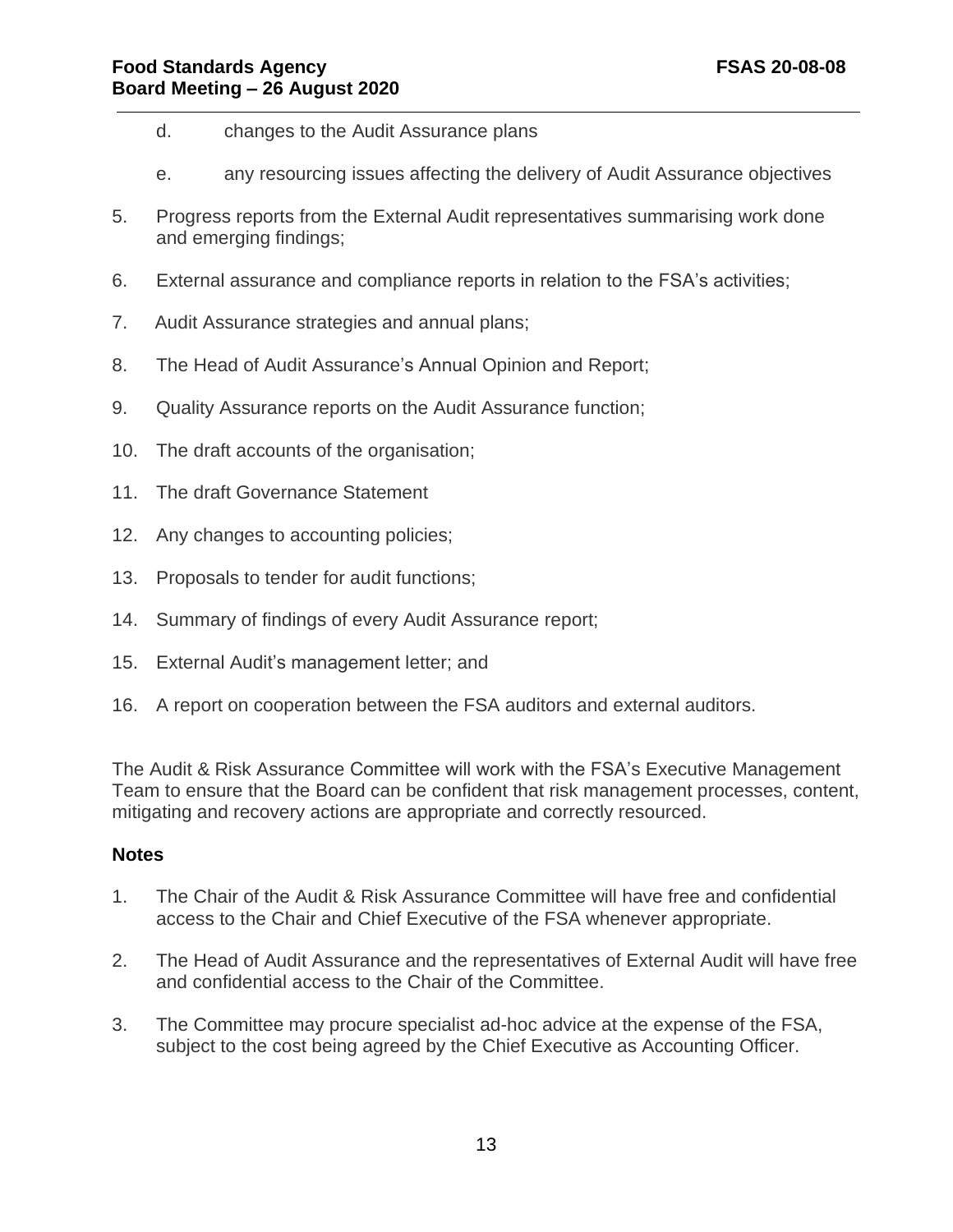- d. changes to the Audit Assurance plans
- e. any resourcing issues affecting the delivery of Audit Assurance objectives
- 5. Progress reports from the External Audit representatives summarising work done and emerging findings;
- 6. External assurance and compliance reports in relation to the FSA's activities;
- 7. Audit Assurance strategies and annual plans;
- 8. The Head of Audit Assurance's Annual Opinion and Report;
- 9. Quality Assurance reports on the Audit Assurance function;
- 10. The draft accounts of the organisation;
- 11. The draft Governance Statement
- 12. Any changes to accounting policies;
- 13. Proposals to tender for audit functions;
- 14. Summary of findings of every Audit Assurance report;
- 15. External Audit's management letter; and
- 16. A report on cooperation between the FSA auditors and external auditors.

The Audit & Risk Assurance Committee will work with the FSA's Executive Management Team to ensure that the Board can be confident that risk management processes, content, mitigating and recovery actions are appropriate and correctly resourced.

### **Notes**

- 1. The Chair of the Audit & Risk Assurance Committee will have free and confidential access to the Chair and Chief Executive of the FSA whenever appropriate.
- 2. The Head of Audit Assurance and the representatives of External Audit will have free and confidential access to the Chair of the Committee.
- 3. The Committee may procure specialist ad-hoc advice at the expense of the FSA, subject to the cost being agreed by the Chief Executive as Accounting Officer.